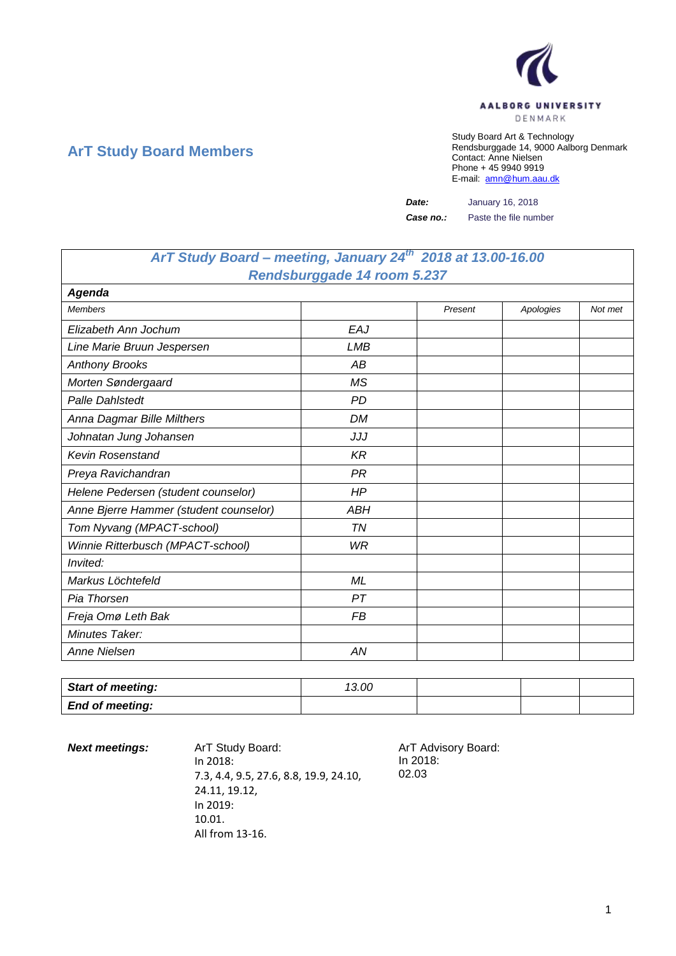

## **ArT Study Board Members**

Study Board Art & Technology Rendsburggade 14, 9000 Aalborg Denmark Contact: Anne Nielsen Phone + 45 9940 9919 E-mail: [amn@hum.aau.dk](mailto:amn@hum.aau.dk)

*Date:* January 16, 2018

*Case no.:* Paste the file number

## *ArT Study Board – meeting, January 24th 2018 at 13.00-16.00 Rendsburggade 14 room 5.237*

| Agenda                                 |            |         |           |         |
|----------------------------------------|------------|---------|-----------|---------|
| <b>Members</b>                         |            | Present | Apologies | Not met |
| Elizabeth Ann Jochum                   | EAJ        |         |           |         |
| Line Marie Bruun Jespersen             | <b>LMB</b> |         |           |         |
| <b>Anthony Brooks</b>                  | AB         |         |           |         |
| Morten Søndergaard                     | <b>MS</b>  |         |           |         |
| <b>Palle Dahlstedt</b>                 | <b>PD</b>  |         |           |         |
| Anna Dagmar Bille Milthers             | DM         |         |           |         |
| Johnatan Jung Johansen                 | JJJ        |         |           |         |
| <b>Kevin Rosenstand</b>                | <b>KR</b>  |         |           |         |
| Preya Ravichandran                     | <b>PR</b>  |         |           |         |
| Helene Pedersen (student counselor)    | HP         |         |           |         |
| Anne Bjerre Hammer (student counselor) | <b>ABH</b> |         |           |         |
| Tom Nyvang (MPACT-school)              | TN         |         |           |         |
| Winnie Ritterbusch (MPACT-school)      | WR         |         |           |         |
| Invited:                               |            |         |           |         |
| Markus Löchtefeld                      | ML         |         |           |         |
| Pia Thorsen                            | PT         |         |           |         |
| Freja Omø Leth Bak                     | FB         |         |           |         |
| Minutes Taker:                         |            |         |           |         |
| <b>Anne Nielsen</b>                    | AN         |         |           |         |

| <b>Start of meeting:</b> | 13.00 |  |  |
|--------------------------|-------|--|--|
| <b>End of meeting:</b>   |       |  |  |

**Next meetings:** ArT Study Board: ArT Advisory Board: In 2018: 7.3, 4.4, 9.5, 27.6, 8.8, 19.9, 24.10, 24.11, 19.12, In 2019: 10.01. All from 13-16.

In 2018: 02.03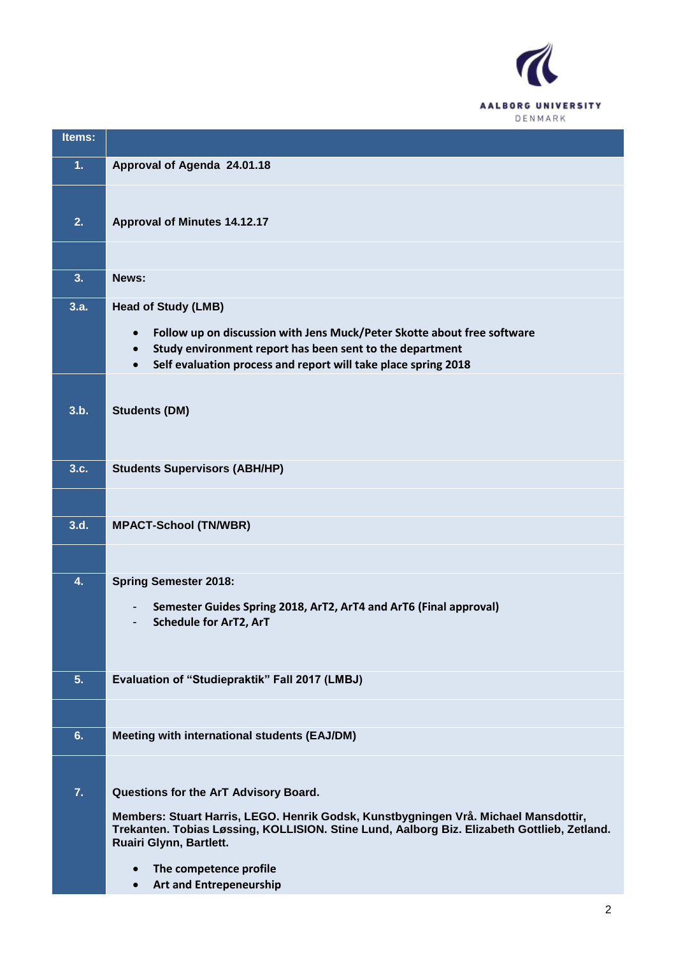

| Items: |                                                                                                                                                                                                               |
|--------|---------------------------------------------------------------------------------------------------------------------------------------------------------------------------------------------------------------|
| 1.     | Approval of Agenda 24.01.18                                                                                                                                                                                   |
|        |                                                                                                                                                                                                               |
| 2.     | <b>Approval of Minutes 14.12.17</b>                                                                                                                                                                           |
|        |                                                                                                                                                                                                               |
| 3.     | News:                                                                                                                                                                                                         |
| 3.a.   | <b>Head of Study (LMB)</b>                                                                                                                                                                                    |
|        | Follow up on discussion with Jens Muck/Peter Skotte about free software<br>$\bullet$                                                                                                                          |
|        | Study environment report has been sent to the department<br>$\bullet$<br>Self evaluation process and report will take place spring 2018<br>$\bullet$                                                          |
|        |                                                                                                                                                                                                               |
| 3.b.   | <b>Students (DM)</b>                                                                                                                                                                                          |
|        |                                                                                                                                                                                                               |
| 3.c.   | <b>Students Supervisors (ABH/HP)</b>                                                                                                                                                                          |
|        |                                                                                                                                                                                                               |
| 3.d.   | <b>MPACT-School (TN/WBR)</b>                                                                                                                                                                                  |
|        |                                                                                                                                                                                                               |
| 4.     | <b>Spring Semester 2018:</b>                                                                                                                                                                                  |
|        | Semester Guides Spring 2018, ArT2, ArT4 and ArT6 (Final approval)                                                                                                                                             |
|        | <b>Schedule for ArT2, ArT</b>                                                                                                                                                                                 |
|        |                                                                                                                                                                                                               |
| 5.     | Evaluation of "Studiepraktik" Fall 2017 (LMBJ)                                                                                                                                                                |
|        |                                                                                                                                                                                                               |
| 6.     | Meeting with international students (EAJ/DM)                                                                                                                                                                  |
|        |                                                                                                                                                                                                               |
| 7.     | Questions for the ArT Advisory Board.                                                                                                                                                                         |
|        | Members: Stuart Harris, LEGO. Henrik Godsk, Kunstbygningen Vrå. Michael Mansdottir,<br>Trekanten. Tobias Løssing, KOLLISION. Stine Lund, Aalborg Biz. Elizabeth Gottlieb, Zetland.<br>Ruairi Glynn, Bartlett. |
|        | The competence profile<br>$\bullet$<br><b>Art and Entrepeneurship</b><br>$\bullet$                                                                                                                            |